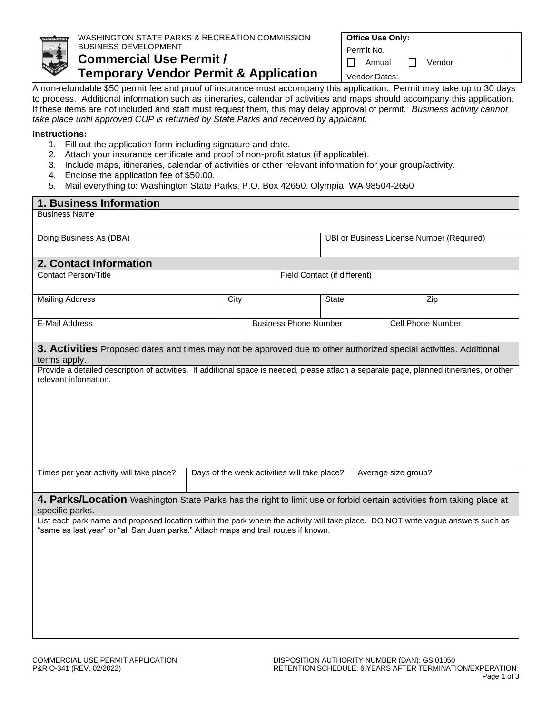

## WASHINGTON STATE PARKS & RECREATION COMMISSION BUSINESS DEVELOPMENT **Commercial Use Permit /**

**Temporary Vendor Permit & Application**

Permit No.

Annual **D** Vendor

Vendor Dates:

A non-refundable \$50 permit fee and proof of insurance must accompany this application. Permit may take up to 30 days to process. Additional information such as itineraries, calendar of activities and maps should accompany this application. If these items are not included and staff must request them, this may delay approval of permit. *Business activity cannot take place until approved CUP is returned by State Parks and received by applicant.*

## **Instructions:**

- 1. Fill out the application form including signature and date.
- 2. Attach your insurance certificate and proof of non-profit status (if applicable).
- 3. Include maps, itineraries, calendar of activities or other relevant information for your group/activity.
- 4. Enclose the application fee of \$50.00.
- 5. Mail everything to: Washington State Parks, P.O. Box 42650. Olympia, WA 98504-2650

| 1. Business Information                                                                                                                                                                                                 |                                              |  |                              |                                           |  |  |                          |  |  |  |
|-------------------------------------------------------------------------------------------------------------------------------------------------------------------------------------------------------------------------|----------------------------------------------|--|------------------------------|-------------------------------------------|--|--|--------------------------|--|--|--|
| <b>Business Name</b>                                                                                                                                                                                                    |                                              |  |                              |                                           |  |  |                          |  |  |  |
| Doing Business As (DBA)                                                                                                                                                                                                 |                                              |  |                              | UBI or Business License Number (Required) |  |  |                          |  |  |  |
| 2. Contact Information                                                                                                                                                                                                  |                                              |  |                              |                                           |  |  |                          |  |  |  |
| <b>Contact Person/Title</b>                                                                                                                                                                                             |                                              |  |                              | Field Contact (if different)              |  |  |                          |  |  |  |
| <b>Mailing Address</b>                                                                                                                                                                                                  | City                                         |  |                              | <b>State</b>                              |  |  | Zip                      |  |  |  |
| <b>E-Mail Address</b>                                                                                                                                                                                                   |                                              |  | <b>Business Phone Number</b> |                                           |  |  | <b>Cell Phone Number</b> |  |  |  |
| 3. Activities Proposed dates and times may not be approved due to other authorized special activities. Additional<br>terms apply.                                                                                       |                                              |  |                              |                                           |  |  |                          |  |  |  |
| Provide a detailed description of activities. If additional space is needed, please attach a separate page, planned itineraries, or other<br>relevant information.                                                      |                                              |  |                              |                                           |  |  |                          |  |  |  |
| Times per year activity will take place?                                                                                                                                                                                | Days of the week activities will take place? |  |                              | Average size group?                       |  |  |                          |  |  |  |
| 4. Parks/Location Washington State Parks has the right to limit use or forbid certain activities from taking place at<br>specific parks.                                                                                |                                              |  |                              |                                           |  |  |                          |  |  |  |
| List each park name and proposed location within the park where the activity will take place. DO NOT write vague answers such as<br>"same as last year" or "all San Juan parks." Attach maps and trail routes if known. |                                              |  |                              |                                           |  |  |                          |  |  |  |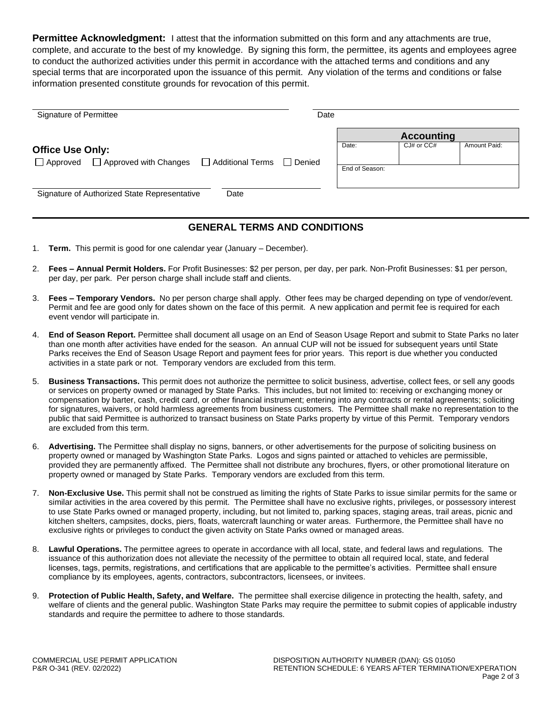**Permittee Acknowledgment:** I attest that the information submitted on this form and any attachments are true, complete, and accurate to the best of my knowledge. By signing this form, the permittee, its agents and employees agree to conduct the authorized activities under this permit in accordance with the attached terms and conditions and any special terms that are incorporated upon the issuance of this permit. Any violation of the terms and conditions or false information presented constitute grounds for revocation of this permit.

| Signature of Permittee                                                  |                             | Date |                         |                                     |              |
|-------------------------------------------------------------------------|-----------------------------|------|-------------------------|-------------------------------------|--------------|
| <b>Office Use Only:</b><br>$\Box$ Approved $\Box$ Approved with Changes | □ Additional Terms □ Denied |      | Date:<br>End of Season: | <b>Accounting</b><br>$CJ#$ or $CCH$ | Amount Paid: |
| Signature of Authorized State Representative                            | Date                        |      |                         |                                     |              |

## **GENERAL TERMS AND CONDITIONS**

- 1. **Term.** This permit is good for one calendar year (January December).
- 2. **Fees – Annual Permit Holders.** For Profit Businesses: \$2 per person, per day, per park. Non-Profit Businesses: \$1 per person, per day, per park. Per person charge shall include staff and clients.
- 3. **Fees – Temporary Vendors.** No per person charge shall apply. Other fees may be charged depending on type of vendor/event. Permit and fee are good only for dates shown on the face of this permit. A new application and permit fee is required for each event vendor will participate in.
- 4. **End of Season Report.** Permittee shall document all usage on an End of Season Usage Report and submit to State Parks no later than one month after activities have ended for the season. An annual CUP will not be issued for subsequent years until State Parks receives the End of Season Usage Report and payment fees for prior years. This report is due whether you conducted activities in a state park or not. Temporary vendors are excluded from this term.
- 5. **Business Transactions.** This permit does not authorize the permittee to solicit business, advertise, collect fees, or sell any goods or services on property owned or managed by State Parks. This includes, but not limited to: receiving or exchanging money or compensation by barter, cash, credit card, or other financial instrument; entering into any contracts or rental agreements; soliciting for signatures, waivers, or hold harmless agreements from business customers. The Permittee shall make no representation to the public that said Permittee is authorized to transact business on State Parks property by virtue of this Permit. Temporary vendors are excluded from this term.
- 6. **Advertising.** The Permittee shall display no signs, banners, or other advertisements for the purpose of soliciting business on property owned or managed by Washington State Parks. Logos and signs painted or attached to vehicles are permissible, provided they are permanently affixed. The Permittee shall not distribute any brochures, flyers, or other promotional literature on property owned or managed by State Parks. Temporary vendors are excluded from this term.
- 7. **Non-Exclusive Use.** This permit shall not be construed as limiting the rights of State Parks to issue similar permits for the same or similar activities in the area covered by this permit. The Permittee shall have no exclusive rights, privileges, or possessory interest to use State Parks owned or managed property, including, but not limited to, parking spaces, staging areas, trail areas, picnic and kitchen shelters, campsites, docks, piers, floats, watercraft launching or water areas. Furthermore, the Permittee shall have no exclusive rights or privileges to conduct the given activity on State Parks owned or managed areas.
- 8. **Lawful Operations.** The permittee agrees to operate in accordance with all local, state, and federal laws and regulations. The issuance of this authorization does not alleviate the necessity of the permittee to obtain all required local, state, and federal licenses, tags, permits, registrations, and certifications that are applicable to the permittee's activities. Permittee shall ensure compliance by its employees, agents, contractors, subcontractors, licensees, or invitees.
- 9. **Protection of Public Health, Safety, and Welfare.** The permittee shall exercise diligence in protecting the health, safety, and welfare of clients and the general public. Washington State Parks may require the permittee to submit copies of applicable industry standards and require the permittee to adhere to those standards.